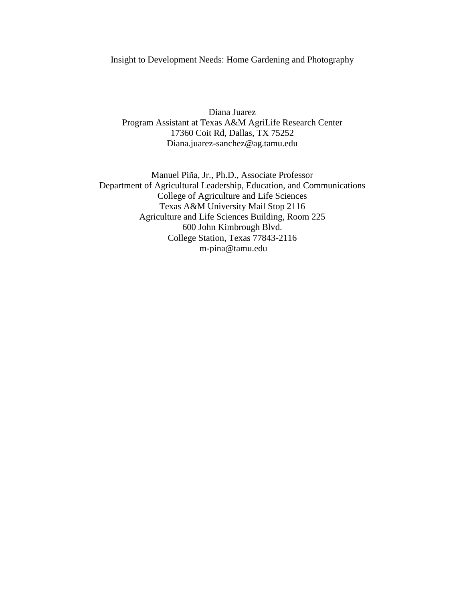Insight to Development Needs: Home Gardening and Photography

Diana Juarez Program Assistant at Texas A&M AgriLife Research Center 17360 Coit Rd, Dallas, TX 75252 Diana.juarez-sanchez@ag.tamu.edu

Manuel Piña, Jr., Ph.D., Associate Professor Department of Agricultural Leadership, Education, and Communications College of Agriculture and Life Sciences Texas A&M University Mail Stop 2116 Agriculture and Life Sciences Building, Room 225 600 John Kimbrough Blvd. College Station, Texas 77843-2116 m-pina@tamu.edu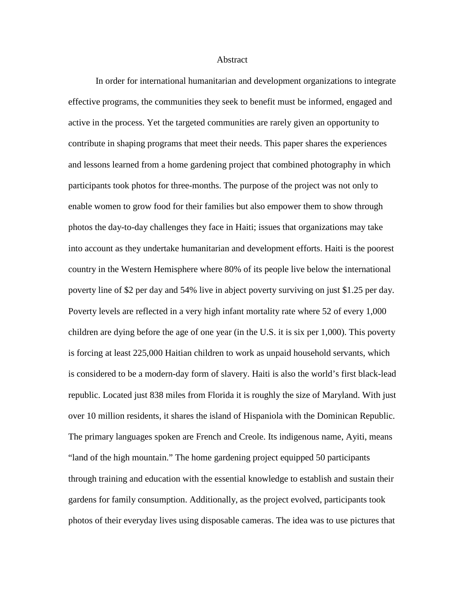## Abstract

In order for international humanitarian and development organizations to integrate effective programs, the communities they seek to benefit must be informed, engaged and active in the process. Yet the targeted communities are rarely given an opportunity to contribute in shaping programs that meet their needs. This paper shares the experiences and lessons learned from a home gardening project that combined photography in which participants took photos for three-months. The purpose of the project was not only to enable women to grow food for their families but also empower them to show through photos the day-to-day challenges they face in Haiti; issues that organizations may take into account as they undertake humanitarian and development efforts. Haiti is the poorest country in the Western Hemisphere where 80% of its people live below the international poverty line of \$2 per day and 54% live in abject poverty surviving on just \$1.25 per day. Poverty levels are reflected in a very high infant mortality rate where 52 of every 1,000 children are dying before the age of one year (in the U.S. it is six per 1,000). This poverty is forcing at least 225,000 Haitian children to work as unpaid household servants, which is considered to be a modern-day form of slavery. Haiti is also the world's first black-lead republic. Located just 838 miles from Florida it is roughly the size of Maryland. With just over 10 million residents, it shares the island of Hispaniola with the Dominican Republic. The primary languages spoken are French and Creole. Its indigenous name, Ayiti, means "land of the high mountain." The home gardening project equipped 50 participants through training and education with the essential knowledge to establish and sustain their gardens for family consumption. Additionally, as the project evolved, participants took photos of their everyday lives using disposable cameras. The idea was to use pictures that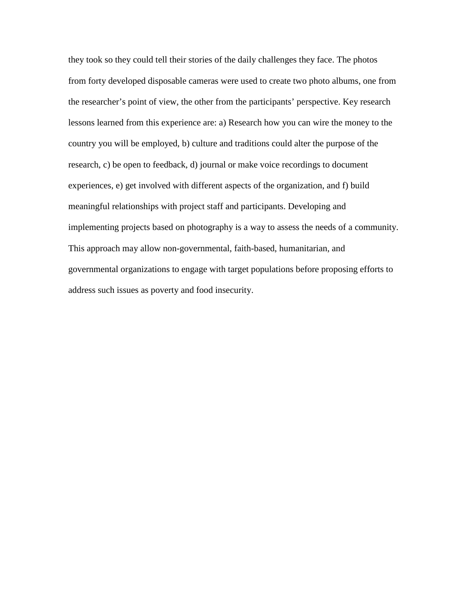they took so they could tell their stories of the daily challenges they face. The photos from forty developed disposable cameras were used to create two photo albums, one from the researcher's point of view, the other from the participants' perspective. Key research lessons learned from this experience are: a) Research how you can wire the money to the country you will be employed, b) culture and traditions could alter the purpose of the research, c) be open to feedback, d) journal or make voice recordings to document experiences, e) get involved with different aspects of the organization, and f) build meaningful relationships with project staff and participants. Developing and implementing projects based on photography is a way to assess the needs of a community. This approach may allow non-governmental, faith-based, humanitarian, and governmental organizations to engage with target populations before proposing efforts to address such issues as poverty and food insecurity.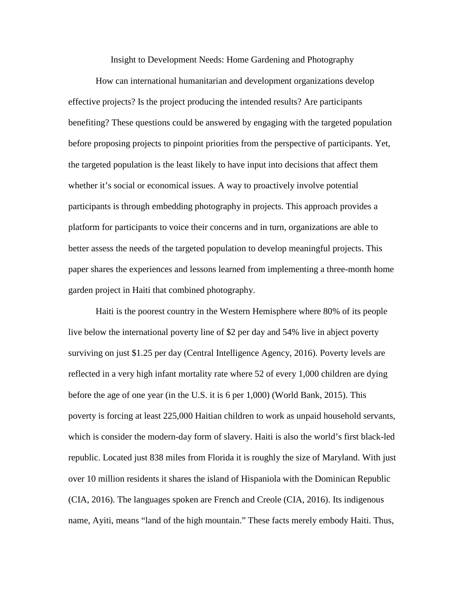Insight to Development Needs: Home Gardening and Photography

How can international humanitarian and development organizations develop effective projects? Is the project producing the intended results? Are participants benefiting? These questions could be answered by engaging with the targeted population before proposing projects to pinpoint priorities from the perspective of participants. Yet, the targeted population is the least likely to have input into decisions that affect them whether it's social or economical issues. A way to proactively involve potential participants is through embedding photography in projects. This approach provides a platform for participants to voice their concerns and in turn, organizations are able to better assess the needs of the targeted population to develop meaningful projects. This paper shares the experiences and lessons learned from implementing a three-month home garden project in Haiti that combined photography.

Haiti is the poorest country in the Western Hemisphere where 80% of its people live below the international poverty line of \$2 per day and 54% live in abject poverty surviving on just \$1.25 per day (Central Intelligence Agency, 2016). Poverty levels are reflected in a very high infant mortality rate where 52 of every 1,000 children are dying before the age of one year (in the U.S. it is 6 per 1,000) (World Bank, 2015). This poverty is forcing at least 225,000 Haitian children to work as unpaid household servants, which is consider the modern-day form of slavery. Haiti is also the world's first black-led republic. Located just 838 miles from Florida it is roughly the size of Maryland. With just over 10 million residents it shares the island of Hispaniola with the Dominican Republic (CIA, 2016). The languages spoken are French and Creole (CIA, 2016). Its indigenous name, Ayiti, means "land of the high mountain." These facts merely embody Haiti. Thus,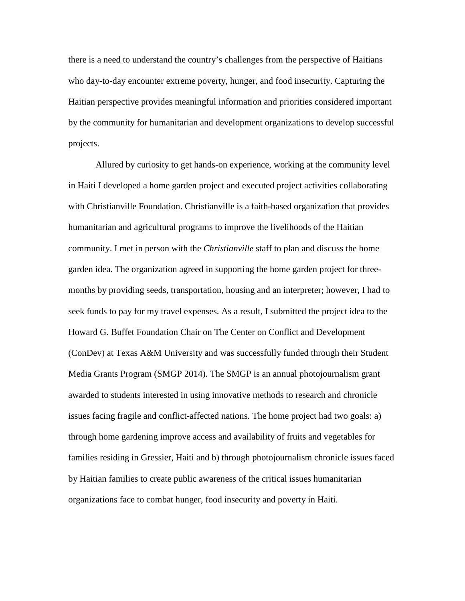there is a need to understand the country's challenges from the perspective of Haitians who day-to-day encounter extreme poverty, hunger, and food insecurity. Capturing the Haitian perspective provides meaningful information and priorities considered important by the community for humanitarian and development organizations to develop successful projects.

Allured by curiosity to get hands-on experience, working at the community level in Haiti I developed a home garden project and executed project activities collaborating with Christianville Foundation. Christianville is a faith-based organization that provides humanitarian and agricultural programs to improve the livelihoods of the Haitian community. I met in person with the *Christianville* staff to plan and discuss the home garden idea. The organization agreed in supporting the home garden project for threemonths by providing seeds, transportation, housing and an interpreter; however, I had to seek funds to pay for my travel expenses. As a result, I submitted the project idea to the Howard G. Buffet Foundation Chair on The Center on Conflict and Development (ConDev) at Texas A&M University and was successfully funded through their Student Media Grants Program (SMGP 2014). The SMGP is an annual photojournalism grant awarded to students interested in using innovative methods to research and chronicle issues facing fragile and conflict-affected nations. The home project had two goals: a) through home gardening improve access and availability of fruits and vegetables for families residing in Gressier, Haiti and b) through photojournalism chronicle issues faced by Haitian families to create public awareness of the critical issues humanitarian organizations face to combat hunger, food insecurity and poverty in Haiti.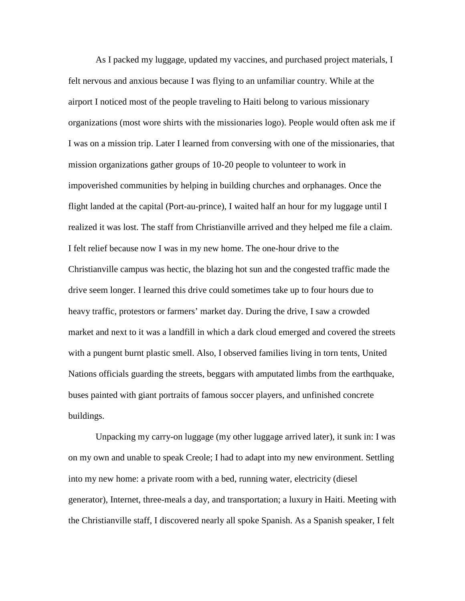As I packed my luggage, updated my vaccines, and purchased project materials, I felt nervous and anxious because I was flying to an unfamiliar country. While at the airport I noticed most of the people traveling to Haiti belong to various missionary organizations (most wore shirts with the missionaries logo). People would often ask me if I was on a mission trip. Later I learned from conversing with one of the missionaries, that mission organizations gather groups of 10-20 people to volunteer to work in impoverished communities by helping in building churches and orphanages. Once the flight landed at the capital (Port-au-prince), I waited half an hour for my luggage until I realized it was lost. The staff from Christianville arrived and they helped me file a claim. I felt relief because now I was in my new home. The one-hour drive to the Christianville campus was hectic, the blazing hot sun and the congested traffic made the drive seem longer. I learned this drive could sometimes take up to four hours due to heavy traffic, protestors or farmers' market day. During the drive, I saw a crowded market and next to it was a landfill in which a dark cloud emerged and covered the streets with a pungent burnt plastic smell. Also, I observed families living in torn tents, United Nations officials guarding the streets, beggars with amputated limbs from the earthquake, buses painted with giant portraits of famous soccer players, and unfinished concrete buildings.

Unpacking my carry-on luggage (my other luggage arrived later), it sunk in: I was on my own and unable to speak Creole; I had to adapt into my new environment. Settling into my new home: a private room with a bed, running water, electricity (diesel generator), Internet, three-meals a day, and transportation; a luxury in Haiti. Meeting with the Christianville staff, I discovered nearly all spoke Spanish. As a Spanish speaker, I felt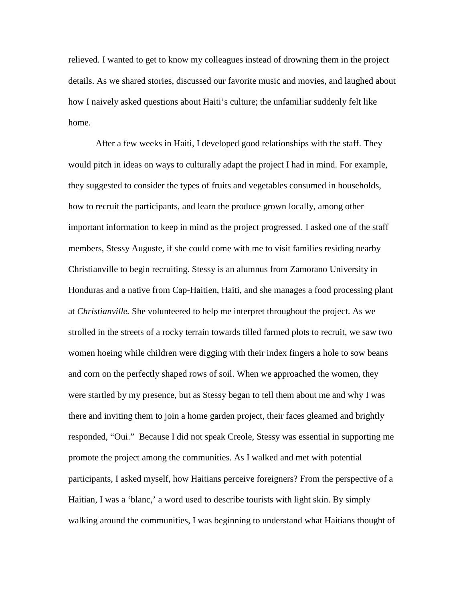relieved. I wanted to get to know my colleagues instead of drowning them in the project details. As we shared stories, discussed our favorite music and movies, and laughed about how I naively asked questions about Haiti's culture; the unfamiliar suddenly felt like home.

After a few weeks in Haiti, I developed good relationships with the staff. They would pitch in ideas on ways to culturally adapt the project I had in mind. For example, they suggested to consider the types of fruits and vegetables consumed in households, how to recruit the participants, and learn the produce grown locally, among other important information to keep in mind as the project progressed. I asked one of the staff members, Stessy Auguste, if she could come with me to visit families residing nearby Christianville to begin recruiting. Stessy is an alumnus from Zamorano University in Honduras and a native from Cap-Haitien, Haiti, and she manages a food processing plant at *Christianville.* She volunteered to help me interpret throughout the project. As we strolled in the streets of a rocky terrain towards tilled farmed plots to recruit, we saw two women hoeing while children were digging with their index fingers a hole to sow beans and corn on the perfectly shaped rows of soil. When we approached the women, they were startled by my presence, but as Stessy began to tell them about me and why I was there and inviting them to join a home garden project, their faces gleamed and brightly responded, "Oui." Because I did not speak Creole, Stessy was essential in supporting me promote the project among the communities. As I walked and met with potential participants, I asked myself, how Haitians perceive foreigners? From the perspective of a Haitian, I was a 'blanc,' a word used to describe tourists with light skin. By simply walking around the communities, I was beginning to understand what Haitians thought of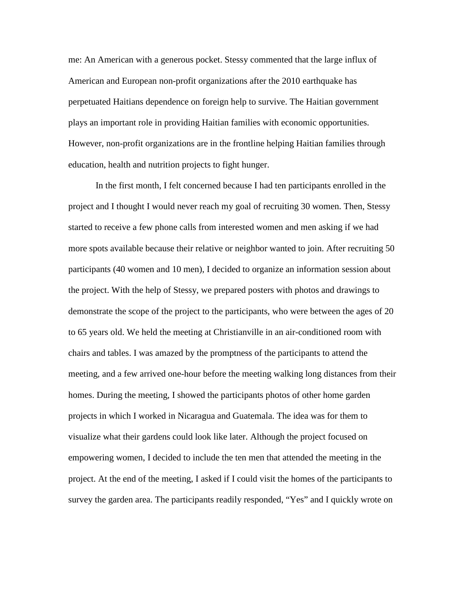me: An American with a generous pocket. Stessy commented that the large influx of American and European non-profit organizations after the 2010 earthquake has perpetuated Haitians dependence on foreign help to survive. The Haitian government plays an important role in providing Haitian families with economic opportunities. However, non-profit organizations are in the frontline helping Haitian families through education, health and nutrition projects to fight hunger.

In the first month, I felt concerned because I had ten participants enrolled in the project and I thought I would never reach my goal of recruiting 30 women. Then, Stessy started to receive a few phone calls from interested women and men asking if we had more spots available because their relative or neighbor wanted to join. After recruiting 50 participants (40 women and 10 men), I decided to organize an information session about the project. With the help of Stessy, we prepared posters with photos and drawings to demonstrate the scope of the project to the participants, who were between the ages of 20 to 65 years old. We held the meeting at Christianville in an air-conditioned room with chairs and tables. I was amazed by the promptness of the participants to attend the meeting, and a few arrived one-hour before the meeting walking long distances from their homes. During the meeting, I showed the participants photos of other home garden projects in which I worked in Nicaragua and Guatemala. The idea was for them to visualize what their gardens could look like later. Although the project focused on empowering women, I decided to include the ten men that attended the meeting in the project. At the end of the meeting, I asked if I could visit the homes of the participants to survey the garden area. The participants readily responded, "Yes" and I quickly wrote on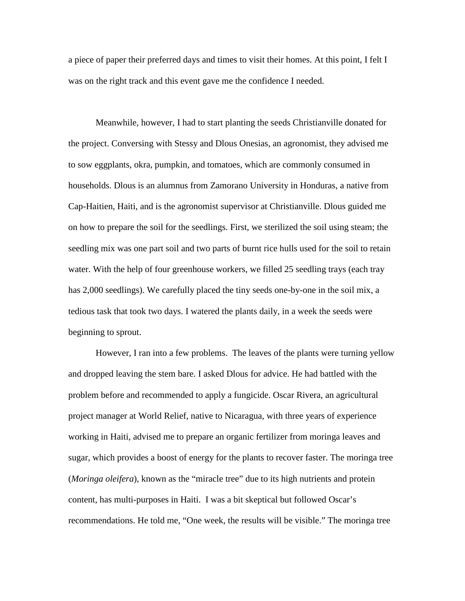a piece of paper their preferred days and times to visit their homes. At this point, I felt I was on the right track and this event gave me the confidence I needed.

Meanwhile, however, I had to start planting the seeds Christianville donated for the project. Conversing with Stessy and Dlous Onesias, an agronomist, they advised me to sow eggplants, okra, pumpkin, and tomatoes, which are commonly consumed in households. Dlous is an alumnus from Zamorano University in Honduras, a native from Cap-Haitien, Haiti, and is the agronomist supervisor at Christianville. Dlous guided me on how to prepare the soil for the seedlings. First, we sterilized the soil using steam; the seedling mix was one part soil and two parts of burnt rice hulls used for the soil to retain water. With the help of four greenhouse workers, we filled 25 seedling trays (each tray has 2,000 seedlings). We carefully placed the tiny seeds one-by-one in the soil mix, a tedious task that took two days. I watered the plants daily, in a week the seeds were beginning to sprout.

However, I ran into a few problems. The leaves of the plants were turning yellow and dropped leaving the stem bare. I asked Dlous for advice. He had battled with the problem before and recommended to apply a fungicide. Oscar Rivera, an agricultural project manager at World Relief, native to Nicaragua, with three years of experience working in Haiti, advised me to prepare an organic fertilizer from moringa leaves and sugar, which provides a boost of energy for the plants to recover faster. The moringa tree (*Moringa oleifera*), known as the "miracle tree" due to its high nutrients and protein content, has multi-purposes in Haiti. I was a bit skeptical but followed Oscar's recommendations. He told me, "One week, the results will be visible." The moringa tree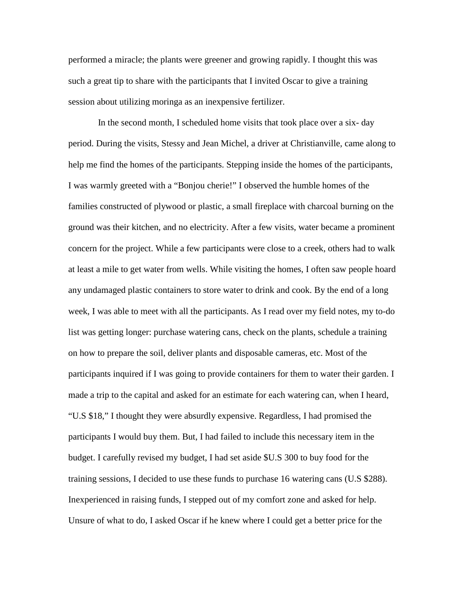performed a miracle; the plants were greener and growing rapidly. I thought this was such a great tip to share with the participants that I invited Oscar to give a training session about utilizing moringa as an inexpensive fertilizer.

In the second month, I scheduled home visits that took place over a six- day period. During the visits, Stessy and Jean Michel, a driver at Christianville*,* came along to help me find the homes of the participants. Stepping inside the homes of the participants, I was warmly greeted with a "Bonjou cherie!" I observed the humble homes of the families constructed of plywood or plastic, a small fireplace with charcoal burning on the ground was their kitchen, and no electricity. After a few visits, water became a prominent concern for the project. While a few participants were close to a creek, others had to walk at least a mile to get water from wells. While visiting the homes, I often saw people hoard any undamaged plastic containers to store water to drink and cook. By the end of a long week, I was able to meet with all the participants. As I read over my field notes, my to-do list was getting longer: purchase watering cans, check on the plants, schedule a training on how to prepare the soil, deliver plants and disposable cameras, etc. Most of the participants inquired if I was going to provide containers for them to water their garden. I made a trip to the capital and asked for an estimate for each watering can, when I heard, "U.S \$18," I thought they were absurdly expensive. Regardless, I had promised the participants I would buy them. But, I had failed to include this necessary item in the budget. I carefully revised my budget, I had set aside \$U.S 300 to buy food for the training sessions, I decided to use these funds to purchase 16 watering cans (U.S \$288). Inexperienced in raising funds, I stepped out of my comfort zone and asked for help. Unsure of what to do, I asked Oscar if he knew where I could get a better price for the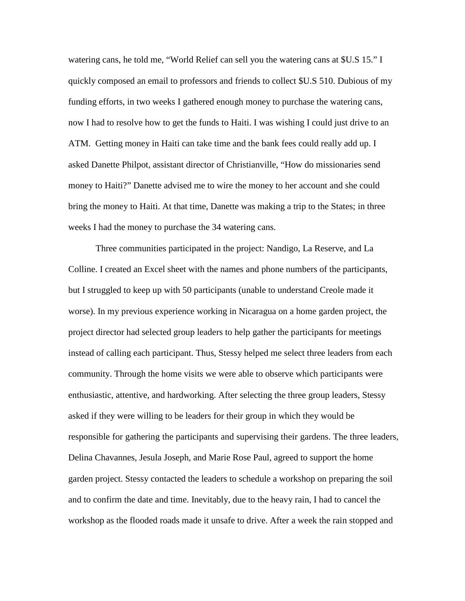watering cans, he told me, "World Relief can sell you the watering cans at \$U.S 15." I quickly composed an email to professors and friends to collect \$U.S 510. Dubious of my funding efforts, in two weeks I gathered enough money to purchase the watering cans, now I had to resolve how to get the funds to Haiti. I was wishing I could just drive to an ATM. Getting money in Haiti can take time and the bank fees could really add up. I asked Danette Philpot, assistant director of Christianville, "How do missionaries send money to Haiti?" Danette advised me to wire the money to her account and she could bring the money to Haiti. At that time, Danette was making a trip to the States; in three weeks I had the money to purchase the 34 watering cans.

Three communities participated in the project: Nandigo, La Reserve, and La Colline. I created an Excel sheet with the names and phone numbers of the participants, but I struggled to keep up with 50 participants (unable to understand Creole made it worse). In my previous experience working in Nicaragua on a home garden project, the project director had selected group leaders to help gather the participants for meetings instead of calling each participant. Thus, Stessy helped me select three leaders from each community. Through the home visits we were able to observe which participants were enthusiastic, attentive, and hardworking. After selecting the three group leaders, Stessy asked if they were willing to be leaders for their group in which they would be responsible for gathering the participants and supervising their gardens. The three leaders, Delina Chavannes, Jesula Joseph, and Marie Rose Paul, agreed to support the home garden project. Stessy contacted the leaders to schedule a workshop on preparing the soil and to confirm the date and time. Inevitably, due to the heavy rain, I had to cancel the workshop as the flooded roads made it unsafe to drive. After a week the rain stopped and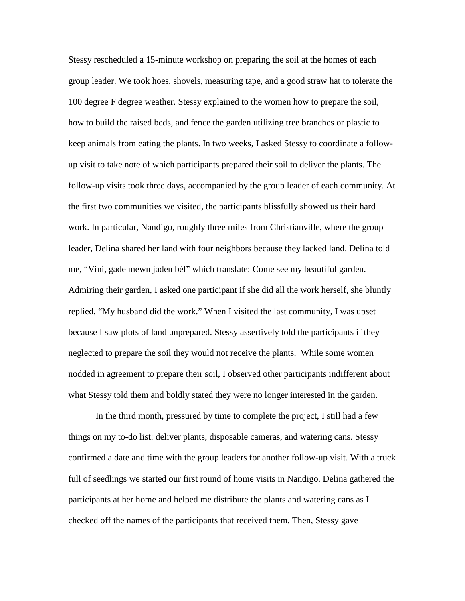Stessy rescheduled a 15-minute workshop on preparing the soil at the homes of each group leader. We took hoes, shovels, measuring tape, and a good straw hat to tolerate the 100 degree F degree weather. Stessy explained to the women how to prepare the soil, how to build the raised beds, and fence the garden utilizing tree branches or plastic to keep animals from eating the plants. In two weeks, I asked Stessy to coordinate a followup visit to take note of which participants prepared their soil to deliver the plants. The follow-up visits took three days, accompanied by the group leader of each community. At the first two communities we visited, the participants blissfully showed us their hard work. In particular, Nandigo, roughly three miles from Christianville, where the group leader, Delina shared her land with four neighbors because they lacked land. Delina told me, "Vini, gade mewn jaden bèl" which translate: Come see my beautiful garden. Admiring their garden, I asked one participant if she did all the work herself, she bluntly replied, "My husband did the work." When I visited the last community, I was upset because I saw plots of land unprepared. Stessy assertively told the participants if they neglected to prepare the soil they would not receive the plants. While some women nodded in agreement to prepare their soil, I observed other participants indifferent about what Stessy told them and boldly stated they were no longer interested in the garden.

In the third month, pressured by time to complete the project, I still had a few things on my to-do list: deliver plants, disposable cameras, and watering cans. Stessy confirmed a date and time with the group leaders for another follow-up visit. With a truck full of seedlings we started our first round of home visits in Nandigo. Delina gathered the participants at her home and helped me distribute the plants and watering cans as I checked off the names of the participants that received them. Then, Stessy gave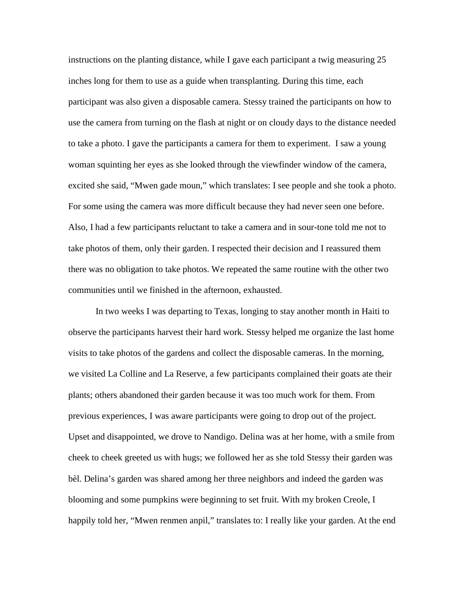instructions on the planting distance, while I gave each participant a twig measuring 25 inches long for them to use as a guide when transplanting. During this time, each participant was also given a disposable camera. Stessy trained the participants on how to use the camera from turning on the flash at night or on cloudy days to the distance needed to take a photo. I gave the participants a camera for them to experiment. I saw a young woman squinting her eyes as she looked through the viewfinder window of the camera, excited she said, "Mwen gade moun," which translates: I see people and she took a photo. For some using the camera was more difficult because they had never seen one before. Also, I had a few participants reluctant to take a camera and in sour-tone told me not to take photos of them, only their garden. I respected their decision and I reassured them there was no obligation to take photos. We repeated the same routine with the other two communities until we finished in the afternoon, exhausted.

In two weeks I was departing to Texas, longing to stay another month in Haiti to observe the participants harvest their hard work. Stessy helped me organize the last home visits to take photos of the gardens and collect the disposable cameras. In the morning, we visited La Colline and La Reserve, a few participants complained their goats ate their plants; others abandoned their garden because it was too much work for them. From previous experiences, I was aware participants were going to drop out of the project. Upset and disappointed, we drove to Nandigo. Delina was at her home, with a smile from cheek to cheek greeted us with hugs; we followed her as she told Stessy their garden was bèl. Delina's garden was shared among her three neighbors and indeed the garden was blooming and some pumpkins were beginning to set fruit. With my broken Creole, I happily told her, "Mwen renmen anpil," translates to: I really like your garden. At the end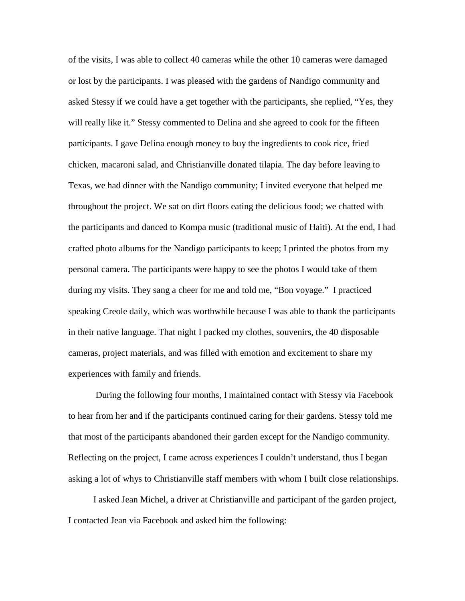of the visits, I was able to collect 40 cameras while the other 10 cameras were damaged or lost by the participants. I was pleased with the gardens of Nandigo community and asked Stessy if we could have a get together with the participants, she replied, "Yes, they will really like it." Stessy commented to Delina and she agreed to cook for the fifteen participants. I gave Delina enough money to buy the ingredients to cook rice, fried chicken, macaroni salad, and Christianville donated tilapia. The day before leaving to Texas, we had dinner with the Nandigo community; I invited everyone that helped me throughout the project. We sat on dirt floors eating the delicious food; we chatted with the participants and danced to Kompa music (traditional music of Haiti). At the end, I had crafted photo albums for the Nandigo participants to keep; I printed the photos from my personal camera. The participants were happy to see the photos I would take of them during my visits. They sang a cheer for me and told me, "Bon voyage." I practiced speaking Creole daily, which was worthwhile because I was able to thank the participants in their native language. That night I packed my clothes, souvenirs, the 40 disposable cameras, project materials, and was filled with emotion and excitement to share my experiences with family and friends.

During the following four months, I maintained contact with Stessy via Facebook to hear from her and if the participants continued caring for their gardens. Stessy told me that most of the participants abandoned their garden except for the Nandigo community. Reflecting on the project, I came across experiences I couldn't understand, thus I began asking a lot of whys to Christianville staff members with whom I built close relationships.

I asked Jean Michel, a driver at Christianville and participant of the garden project, I contacted Jean via Facebook and asked him the following: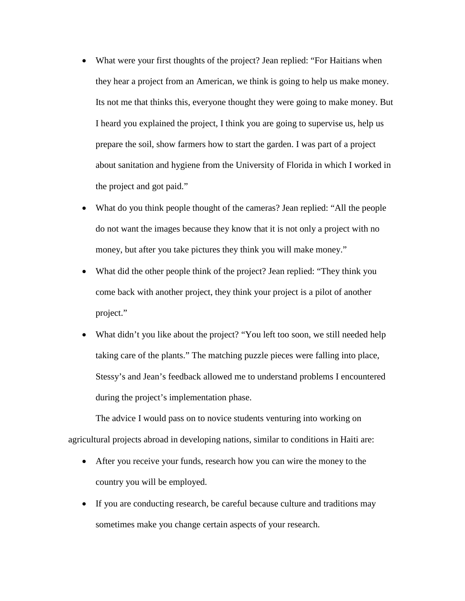- What were your first thoughts of the project? Jean replied: "For Haitians when they hear a project from an American, we think is going to help us make money. Its not me that thinks this, everyone thought they were going to make money. But I heard you explained the project, I think you are going to supervise us, help us prepare the soil, show farmers how to start the garden. I was part of a project about sanitation and hygiene from the University of Florida in which I worked in the project and got paid."
- What do you think people thought of the cameras? Jean replied: "All the people do not want the images because they know that it is not only a project with no money, but after you take pictures they think you will make money."
- What did the other people think of the project? Jean replied: "They think you come back with another project, they think your project is a pilot of another project."
- What didn't you like about the project? "You left too soon, we still needed help taking care of the plants." The matching puzzle pieces were falling into place, Stessy's and Jean's feedback allowed me to understand problems I encountered during the project's implementation phase.

The advice I would pass on to novice students venturing into working on agricultural projects abroad in developing nations, similar to conditions in Haiti are:

- After you receive your funds, research how you can wire the money to the country you will be employed.
- If you are conducting research, be careful because culture and traditions may sometimes make you change certain aspects of your research.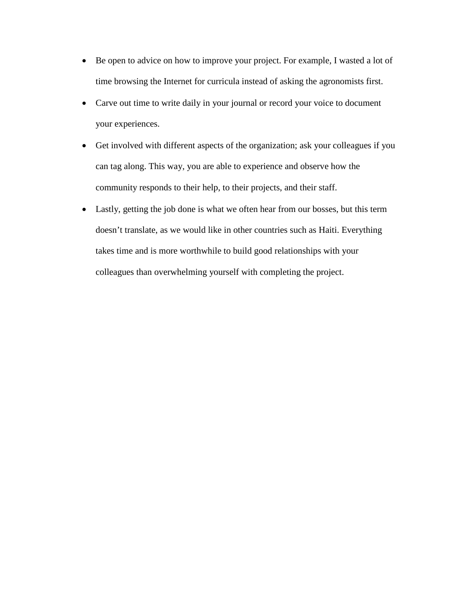- Be open to advice on how to improve your project. For example, I wasted a lot of time browsing the Internet for curricula instead of asking the agronomists first.
- Carve out time to write daily in your journal or record your voice to document your experiences.
- Get involved with different aspects of the organization; ask your colleagues if you can tag along. This way, you are able to experience and observe how the community responds to their help, to their projects, and their staff.
- Lastly, getting the job done is what we often hear from our bosses, but this term doesn't translate, as we would like in other countries such as Haiti. Everything takes time and is more worthwhile to build good relationships with your colleagues than overwhelming yourself with completing the project.